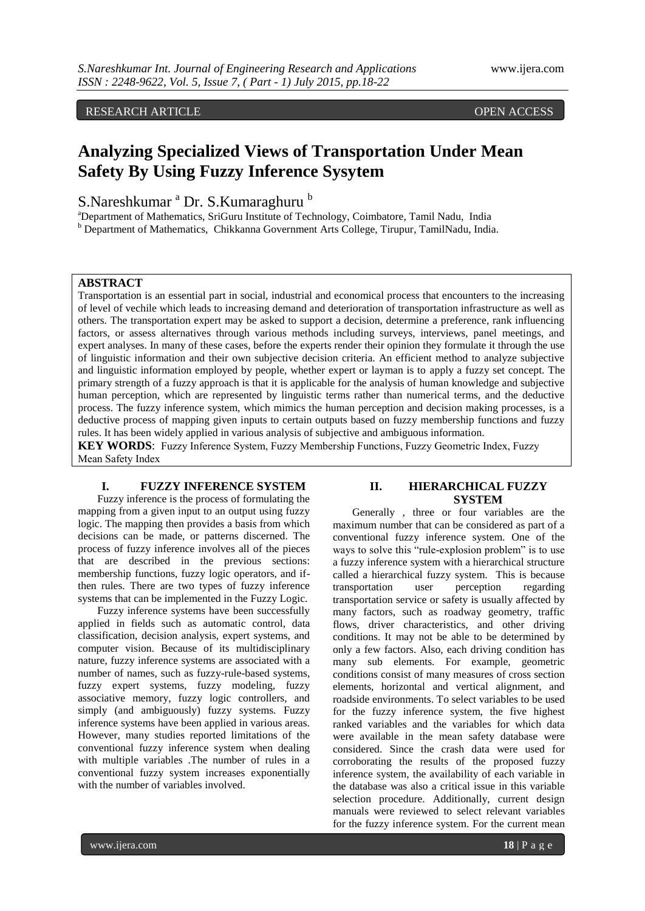RESEARCH ARTICLE **ARTICLE** And the contract of the contract of the contract of the contract of the contract of the contract of the contract of the contract of the contract of the contract of the contract of the contract of

# **Analyzing Specialized Views of Transportation Under Mean Safety By Using Fuzzy Inference Sysytem**

S.Nareshkumar <sup>a</sup> Dr. S.Kumaraghuru b

<sup>a</sup>Department of Mathematics, SriGuru Institute of Technology, Coimbatore, Tamil Nadu, India <sup>b</sup> Department of Mathematics, Chikkanna Government Arts College, Tirupur, TamilNadu, India.

## **ABSTRACT**

Transportation is an essential part in social, industrial and economical process that encounters to the increasing of level of vechile which leads to increasing demand and deterioration of transportation infrastructure as well as others. The transportation expert may be asked to support a decision, determine a preference, rank influencing factors, or assess alternatives through various methods including surveys, interviews, panel meetings, and expert analyses. In many of these cases, before the experts render their opinion they formulate it through the use of linguistic information and their own subjective decision criteria. An efficient method to analyze subjective and linguistic information employed by people, whether expert or layman is to apply a fuzzy set concept. The primary strength of a fuzzy approach is that it is applicable for the analysis of human knowledge and subjective human perception, which are represented by linguistic terms rather than numerical terms, and the deductive process. The fuzzy inference system, which mimics the human perception and decision making processes, is a deductive process of mapping given inputs to certain outputs based on fuzzy membership functions and fuzzy rules. It has been widely applied in various analysis of subjective and ambiguous information.

**KEY WORDS**: Fuzzy Inference System, Fuzzy Membership Functions, Fuzzy Geometric Index, Fuzzy Mean Safety Index

#### **I. FUZZY INFERENCE SYSTEM**

Fuzzy inference is the process of formulating the mapping from a given input to an output using fuzzy logic. The mapping then provides a basis from which decisions can be made, or patterns discerned. The process of fuzzy inference involves all of the pieces that are described in the previous sections: membership functions, fuzzy logic operators, and ifthen rules. There are two types of fuzzy inference systems that can be implemented in the Fuzzy Logic.

Fuzzy inference systems have been successfully applied in fields such as automatic control, data classification, decision analysis, expert systems, and computer vision. Because of its multidisciplinary nature, fuzzy inference systems are associated with a number of names, such as fuzzy-rule-based systems, fuzzy expert systems, fuzzy modeling, fuzzy associative memory, fuzzy logic controllers, and simply (and ambiguously) fuzzy systems. Fuzzy inference systems have been applied in various areas. However, many studies reported limitations of the conventional fuzzy inference system when dealing with multiple variables .The number of rules in a conventional fuzzy system increases exponentially with the number of variables involved.

## **II. HIERARCHICAL FUZZY SYSTEM**

Generally , three or four variables are the maximum number that can be considered as part of a conventional fuzzy inference system. One of the ways to solve this "rule-explosion problem" is to use a fuzzy inference system with a hierarchical structure called a hierarchical fuzzy system. This is because transportation user perception regarding transportation service or safety is usually affected by many factors, such as roadway geometry, traffic flows, driver characteristics, and other driving conditions. It may not be able to be determined by only a few factors. Also, each driving condition has many sub elements. For example, geometric conditions consist of many measures of cross section elements, horizontal and vertical alignment, and roadside environments. To select variables to be used for the fuzzy inference system, the five highest ranked variables and the variables for which data were available in the mean safety database were considered. Since the crash data were used for corroborating the results of the proposed fuzzy inference system, the availability of each variable in the database was also a critical issue in this variable selection procedure. Additionally, current design manuals were reviewed to select relevant variables for the fuzzy inference system. For the current mean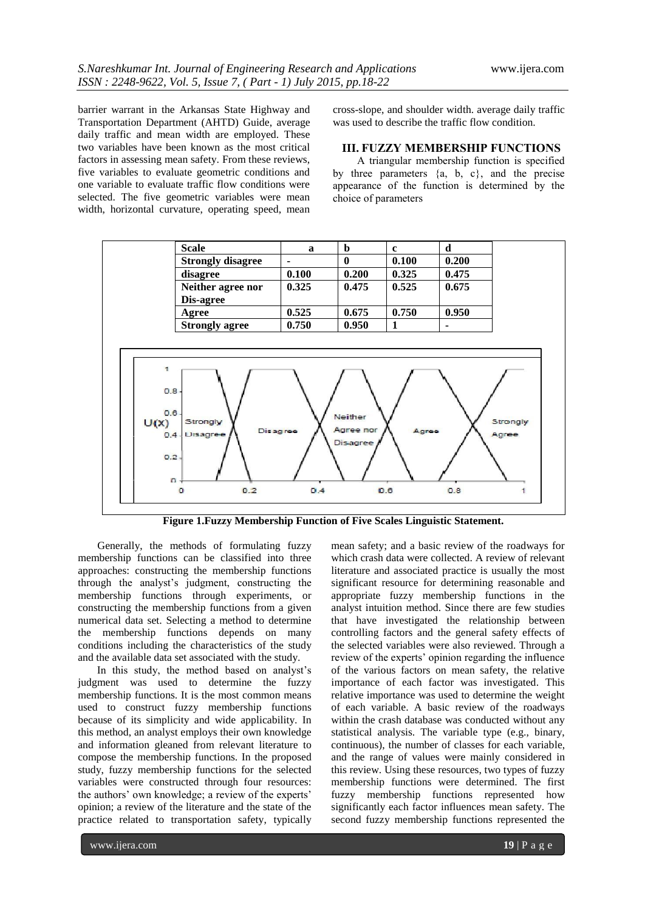barrier warrant in the Arkansas State Highway and Transportation Department (AHTD) Guide, average daily traffic and mean width are employed. These two variables have been known as the most critical factors in assessing mean safety. From these reviews, five variables to evaluate geometric conditions and one variable to evaluate traffic flow conditions were selected. The five geometric variables were mean width, horizontal curvature, operating speed, mean cross-slope, and shoulder width. average daily traffic was used to describe the traffic flow condition.

## **III. FUZZY MEMBERSHIP FUNCTIONS**

A triangular membership function is specified by three parameters  $\{a, b, c\}$ , and the precise appearance of the function is determined by the choice of parameters



 **Figure 1.Fuzzy Membership Function of Five Scales Linguistic Statement.**

Generally, the methods of formulating fuzzy membership functions can be classified into three approaches: constructing the membership functions through the analyst's judgment, constructing the membership functions through experiments, or constructing the membership functions from a given numerical data set. Selecting a method to determine the membership functions depends on many conditions including the characteristics of the study and the available data set associated with the study.

 In this study, the method based on analyst's judgment was used to determine the fuzzy membership functions. It is the most common means used to construct fuzzy membership functions because of its simplicity and wide applicability. In this method, an analyst employs their own knowledge and information gleaned from relevant literature to compose the membership functions. In the proposed study, fuzzy membership functions for the selected variables were constructed through four resources: the authors' own knowledge; a review of the experts' opinion; a review of the literature and the state of the practice related to transportation safety, typically

mean safety; and a basic review of the roadways for which crash data were collected. A review of relevant literature and associated practice is usually the most significant resource for determining reasonable and appropriate fuzzy membership functions in the analyst intuition method. Since there are few studies that have investigated the relationship between controlling factors and the general safety effects of the selected variables were also reviewed. Through a review of the experts' opinion regarding the influence of the various factors on mean safety, the relative importance of each factor was investigated. This relative importance was used to determine the weight of each variable. A basic review of the roadways within the crash database was conducted without any statistical analysis. The variable type (e.g., binary, continuous), the number of classes for each variable, and the range of values were mainly considered in this review. Using these resources, two types of fuzzy membership functions were determined. The first fuzzy membership functions represented how significantly each factor influences mean safety. The second fuzzy membership functions represented the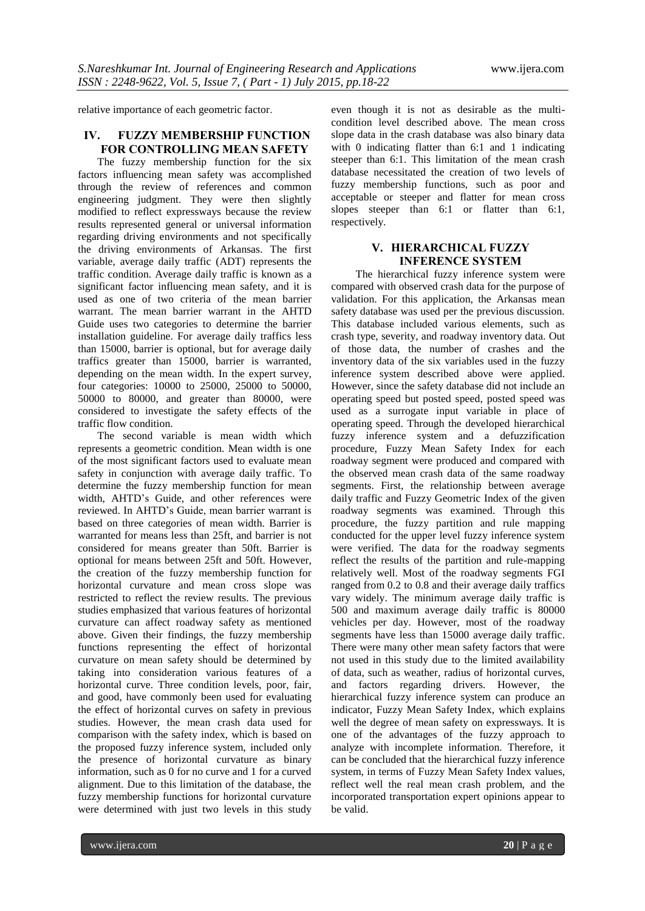relative importance of each geometric factor.

#### **IV. FUZZY MEMBERSHIP FUNCTION FOR CONTROLLING MEAN SAFETY**

The fuzzy membership function for the six factors influencing mean safety was accomplished through the review of references and common engineering judgment. They were then slightly modified to reflect expressways because the review results represented general or universal information regarding driving environments and not specifically the driving environments of Arkansas. The first variable, average daily traffic (ADT) represents the traffic condition. Average daily traffic is known as a significant factor influencing mean safety, and it is used as one of two criteria of the mean barrier warrant. The mean barrier warrant in the AHTD Guide uses two categories to determine the barrier installation guideline. For average daily traffics less than 15000, barrier is optional, but for average daily traffics greater than 15000, barrier is warranted, depending on the mean width. In the expert survey, four categories: 10000 to 25000, 25000 to 50000, 50000 to 80000, and greater than 80000, were considered to investigate the safety effects of the traffic flow condition.

The second variable is mean width which represents a geometric condition. Mean width is one of the most significant factors used to evaluate mean safety in conjunction with average daily traffic. To determine the fuzzy membership function for mean width, AHTD's Guide, and other references were reviewed. In AHTD's Guide, mean barrier warrant is based on three categories of mean width. Barrier is warranted for means less than 25ft, and barrier is not considered for means greater than 50ft. Barrier is optional for means between 25ft and 50ft. However, the creation of the fuzzy membership function for horizontal curvature and mean cross slope was restricted to reflect the review results. The previous studies emphasized that various features of horizontal curvature can affect roadway safety as mentioned above. Given their findings, the fuzzy membership functions representing the effect of horizontal curvature on mean safety should be determined by taking into consideration various features of a horizontal curve. Three condition levels, poor, fair, and good, have commonly been used for evaluating the effect of horizontal curves on safety in previous studies. However, the mean crash data used for comparison with the safety index, which is based on the proposed fuzzy inference system, included only the presence of horizontal curvature as binary information, such as 0 for no curve and 1 for a curved alignment. Due to this limitation of the database, the fuzzy membership functions for horizontal curvature were determined with just two levels in this study

even though it is not as desirable as the multicondition level described above. The mean cross slope data in the crash database was also binary data with 0 indicating flatter than 6:1 and 1 indicating steeper than 6:1. This limitation of the mean crash database necessitated the creation of two levels of fuzzy membership functions, such as poor and acceptable or steeper and flatter for mean cross slopes steeper than 6:1 or flatter than 6:1, respectively.

## **V. HIERARCHICAL FUZZY INFERENCE SYSTEM**

The hierarchical fuzzy inference system were compared with observed crash data for the purpose of validation. For this application, the Arkansas mean safety database was used per the previous discussion. This database included various elements, such as crash type, severity, and roadway inventory data. Out of those data, the number of crashes and the inventory data of the six variables used in the fuzzy inference system described above were applied. However, since the safety database did not include an operating speed but posted speed, posted speed was used as a surrogate input variable in place of operating speed. Through the developed hierarchical fuzzy inference system and a defuzzification procedure, Fuzzy Mean Safety Index for each roadway segment were produced and compared with the observed mean crash data of the same roadway segments. First, the relationship between average daily traffic and Fuzzy Geometric Index of the given roadway segments was examined. Through this procedure, the fuzzy partition and rule mapping conducted for the upper level fuzzy inference system were verified. The data for the roadway segments reflect the results of the partition and rule-mapping relatively well. Most of the roadway segments FGI ranged from 0.2 to 0.8 and their average daily traffics vary widely. The minimum average daily traffic is 500 and maximum average daily traffic is 80000 vehicles per day. However, most of the roadway segments have less than 15000 average daily traffic. There were many other mean safety factors that were not used in this study due to the limited availability of data, such as weather, radius of horizontal curves, and factors regarding drivers. However, the hierarchical fuzzy inference system can produce an indicator, Fuzzy Mean Safety Index, which explains well the degree of mean safety on expressways. It is one of the advantages of the fuzzy approach to analyze with incomplete information. Therefore, it can be concluded that the hierarchical fuzzy inference system, in terms of Fuzzy Mean Safety Index values, reflect well the real mean crash problem, and the incorporated transportation expert opinions appear to be valid.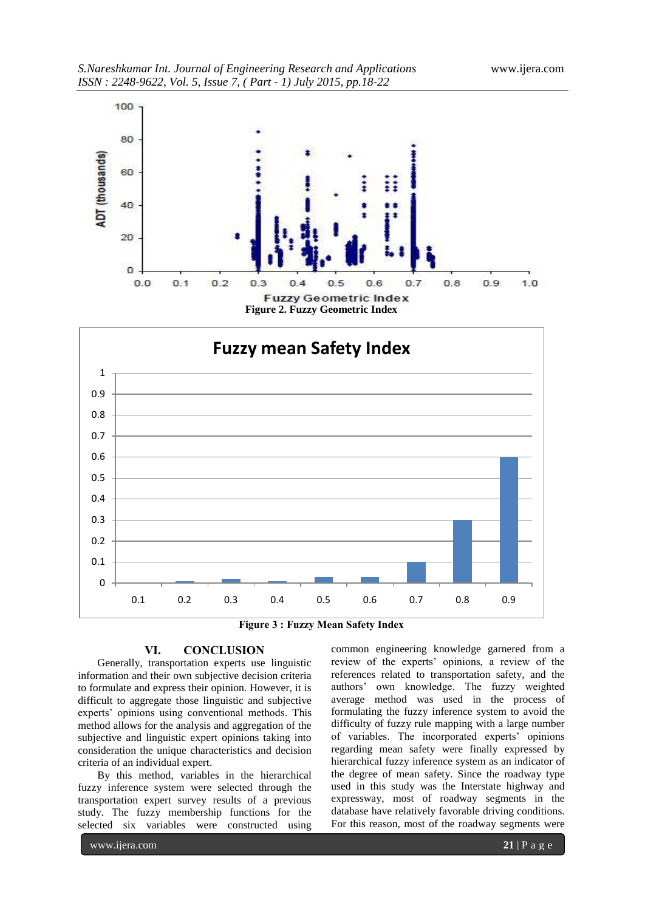

**Figure 2. Fuzzy Geometric Index**



**Figure 3 : Fuzzy Mean Safety Index**

### **VI. CONCLUSION**

Generally, transportation experts use linguistic information and their own subjective decision criteria to formulate and express their opinion. However, it is difficult to aggregate those linguistic and subjective experts' opinions using conventional methods. This method allows for the analysis and aggregation of the subjective and linguistic expert opinions taking into consideration the unique characteristics and decision criteria of an individual expert.

By this method, variables in the hierarchical fuzzy inference system were selected through the transportation expert survey results of a previous study. The fuzzy membership functions for the selected six variables were constructed using

common engineering knowledge garnered from a review of the experts' opinions, a review of the references related to transportation safety, and the authors' own knowledge. The fuzzy weighted average method was used in the process of formulating the fuzzy inference system to avoid the difficulty of fuzzy rule mapping with a large number of variables. The incorporated experts' opinions regarding mean safety were finally expressed by hierarchical fuzzy inference system as an indicator of the degree of mean safety. Since the roadway type used in this study was the Interstate highway and expressway, most of roadway segments in the database have relatively favorable driving conditions. For this reason, most of the roadway segments were